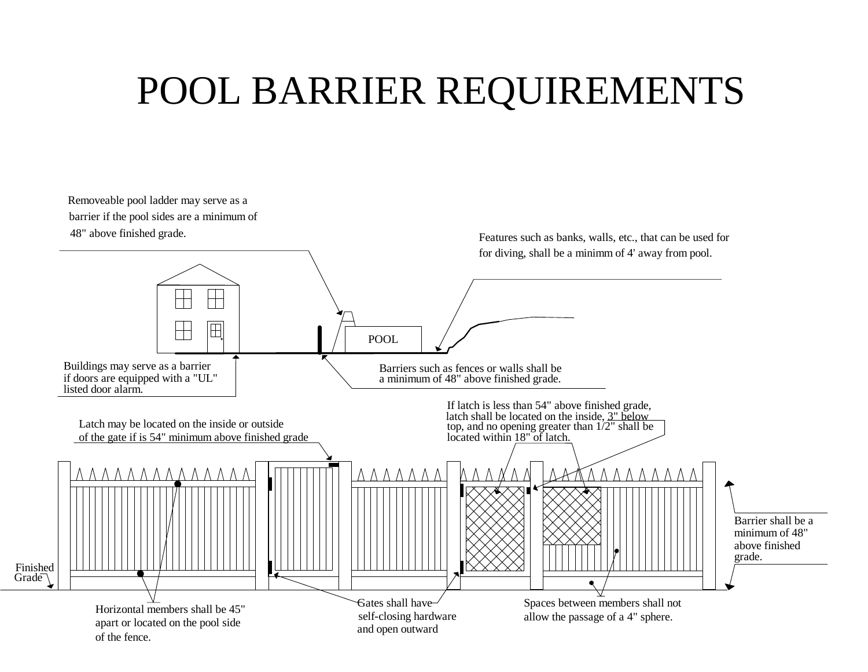## POOL BARRIER REQUIREMENTS